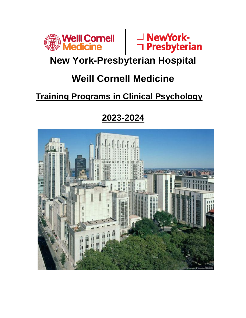



# **New York-Presbyterian Hospital**

# **Weill Cornell Medicine**

# **Training Programs in Clinical Psychology**

# **2023-2024**

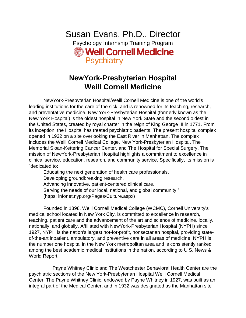Susan Evans, Ph.D., Director Psychology Internship Training Program **Solution Weill Cornell Medicine Psychiatry** 

# **NewYork-Presbyterian Hospital Weill Cornell Medicine**

 NewYork-Presbyterian Hospital/Weill Cornell Medicine is one of the world's leading institutions for the care of the sick, and is renowned for its teaching, research, and preventative medicine. New York-Presbyterian Hospital (formerly known as the New York Hospital) is the oldest hospital in New York State and the second oldest in the United States, created by royal charter in the reign of King George III in 1771. From its inception, the Hospital has treated psychiatric patients. The present hospital complex opened in 1932 on a site overlooking the East River in Manhattan. The complex includes the Weill Cornell Medical College, New York-Presbyterian Hospital, The Memorial Sloan-Kettering Cancer Center, and The Hospital for Special Surgery. The mission of NewYork-Presbyterian Hospital highlights a commitment to excellence in clinical service, education, research, and community service. Specifically, its mission is "dedicated to:

Educating the next generation of health care professionals. Developing groundbreaking research, Advancing innovative, patient-centered clinical care, Serving the needs of our local, national, and global community." (https: infonet.nyp.org/Pages/Culture.aspx)

Founded in 1898, Weill Cornell Medical College (WCMC), Cornell University's medical school located in New York City, is committed to excellence in research, teaching, patient care and the advancement of the art and science of medicine, locally, nationally, and globally. Affiliated with NewYork-Presbyterian Hospital (NYPH) since 1927, NYPH is the nation's largest not-for-profit, nonsectarian hospital, providing stateof-the-art inpatient, ambulatory, and preventive care in all areas of medicine. NYPH is the number one hospital in the New York metropolitan area and is consistently ranked among the best academic medical institutions in the nation, according to U.S. News & World Report.

 Payne Whitney Clinic and The Westchester Behavioral Health Center are the psychiatric sections of the New York-Presbyterian Hospital Weill Cornell Medical Center. The Payne Whitney Clinic, endowed by Payne Whitney in 1927, was built as an integral part of the Medical Center, and in 1932 was designated as the Manhattan site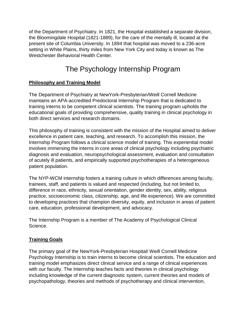of the Department of Psychiatry. In 1821, the Hospital established a separate division, the Bloomingdale Hospital (1821-1889), for the care of the mentally ill, located at the present site of Columbia University. In 1894 that hospital was moved to a 236-acre setting in White Plains, thirty miles from New York City and today is known as The Westchester Behavioral Health Center.

# The Psychology Internship Program

## **Philosophy and Training Model**

The Department of Psychiatry at NewYork-Presbyterian/Weill Cornell Medicine maintains an APA-accredited Predoctoral Internship Program that is dedicated to training interns to be competent clinical scientists. The training program upholds the educational goals of providing comprehensive, quality training in clinical psychology in both direct services and research domains.

This philosophy of training is consistent with the mission of the Hospital aimed to deliver excellence in patient care, teaching, and research. To accomplish this mission, the Internship Program follows a clinical science model of training. This experiential model involves immersing the interns in core areas of clinical psychology including psychiatric diagnosis and evaluation, neuropsychological assessment, evaluation and consultation of acutely ill patients, and empirically supported psychotherapies of a heterogeneous patient population.

The NYP-WCM internship fosters a training culture in which differences among faculty, trainees, staff, and patients is valued and respected (including, but not limited to, difference in race, ethnicity, sexual orientation, gender identity, sex, ability, religious practice, socioeconomic class, citizenship, age, and life experience). We are committed to developing practices that champion diversity, equity, and inclusion in areas of patient care, education, professional development, and advocacy.

The Internship Program is a member of The Academy of Psychological Clinical Science.

## **Training Goals**

The primary goal of the NewYork-Presbyterian Hospital/ Weill Cornell Medicine Psychology Internship is to train interns to become clinical scientists. The education and training model emphasizes direct clinical service and a range of clinical experiences with our faculty. The Internship teaches facts and theories in clinical psychology including knowledge of the current diagnostic system, current theories and models of psychopathology, theories and methods of psychotherapy and clinical intervention,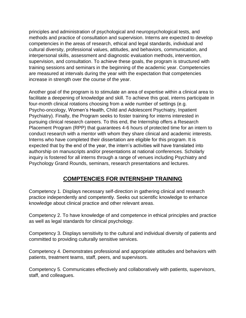principles and administration of psychological and neuropsychological tests, and methods and practice of consultation and supervision. Interns are expected to develop competencies in the areas of research, ethical and legal standards, individual and cultural diversity, professional values, attitudes, and behaviors, communication, and interpersonal skills, assessment and diagnostic evaluation methods, intervention, supervision, and consultation. To achieve these goals, the program is structured with training sessions and seminars in the beginning of the academic year. Competencies are measured at intervals during the year with the expectation that competencies increase in strength over the course of the year.

Another goal of the program is to stimulate an area of expertise within a clinical area to facilitate a deepening of knowledge and skill. To achieve this goal, interns participate in four-month clinical rotations choosing from a wide number of settings (e.g. Psycho-oncology, Women's Health, Child and Adolescent Psychiatry, Inpatient Psychiatry). Finally, the Program seeks to foster training for interns interested in pursuing clinical research careers. To this end, the Internship offers a Research Placement Program (RPP) that guarantees 4-6 hours of protected time for an intern to conduct research with a mentor with whom they share clinical and academic interests. Interns who have completed their dissertation are eligible for this program. It is expected that by the end of the year, the intern's activities will have translated into authorship on manuscripts and/or presentations at national conferences. Scholarly inquiry is fostered for all interns through a range of venues including Psychiatry and Psychology Grand Rounds, seminars, research presentations and lectures.

## **COMPTENCIES FOR INTERNSHIP TRAINING**

Competency 1. Displays necessary self-direction in gathering clinical and research practice independently and competently. Seeks out scientific knowledge to enhance knowledge about clinical practice and other relevant areas.

Competency 2. To have knowledge of and competence in ethical principles and practice as well as legal standards for clinical psychology.

Competency 3. Displays sensitivity to the cultural and individual diversity of patients and committed to providing culturally sensitive services.

Competency 4. Demonstrates professional and appropriate attitudes and behaviors with patients, treatment teams, staff, peers, and supervisors.

Competency 5. Communicates effectively and collaboratively with patients, supervisors, staff, and colleagues.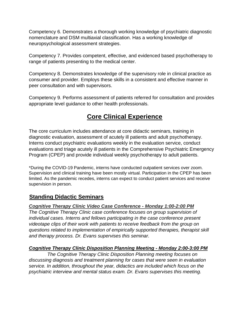Competency 6. Demonstrates a thorough working knowledge of psychiatric diagnostic nomenclature and DSM multiaxial classification. Has a working knowledge of neuropsychological assessment strategies.

Competency 7. Provides competent, effective, and evidenced based psychotherapy to range of patients presenting to the medical center.

Competency 8. Demonstrates knowledge of the supervisory role in clinical practice as consumer and provider. Employs these skills in a consistent and effective manner in peer consultation and with supervisors.

Competency 9. Performs assessment of patients referred for consultation and provides appropriate level guidance to other health professionals.

## **Core Clinical Experience**

The core curriculum includes attendance at core didactic seminars, training in diagnostic evaluation, assessment of acutely ill patients and adult psychotherapy. Interns conduct psychiatric evaluations weekly in the evaluation service, conduct evaluations and triage acutely ill patients in the Comprehensive Psychiatric Emergency Program (CPEP) and provide individual weekly psychotherapy to adult patients.

\*During the COVID-19 Pandemic, interns have conducted outpatient services over zoom. Supervision and clinical training have been mostly virtual. Participation in the CPEP has been limited. As the pandemic recedes, interns can expect to conduct patient services and receive supervision in person.

## **Standing Didactic Seminars**

## *Cognitive Therapy Clinic Video Case Conference - Monday 1:00-2:00 PM*

*The Cognitive Therapy Clinic case conference focuses on group supervision of individual cases. Interns and fellows participating in the case conference present videotape clips of their work with patients to receive feedback from the group on questions related to implementation of empirically supported therapies, therapist skill and therapy process. Dr. Evans supervises this seminar.*

#### *Cognitive Therapy Clinic Disposition Planning Meeting - Monday 2:00-3:00 PM*

*The Cognitive Therapy Clinic Disposition Planning meeting focuses on discussing diagnosis and treatment planning for cases that were seen in evaluation service. In addition, throughout the year, didactics are included which focus on the psychiatric interview and mental status exam. Dr. Evans supervises this meeting.*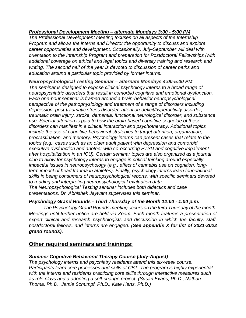#### *Professional Development Meeting – alternate Mondays 3:00 - 5:00 PM*

*The Professional Development meeting focuses on all aspects of the Internship Program and allows the interns and Director the opportunity to discuss and explore career opportunities and development. Occasionally, July-September will deal with orientation to the Internship Program and preparation for Postdoctoral Fellowships (with additional coverage on ethical and legal topics and diversity training and research and writing. The second half of the year is devoted to discussion of career paths and education around a particular topic provided by former interns.* 

#### *Neuropsychological Testing Seminar – alternate Mondays 4:00-5:00 PM*

*The seminar is designed to expose clinical psychology interns to a broad range of neuropsychiatric disorders that result in comorbid cognitive and emotional dysfunction. Each one-hour seminar is framed around a brain-behavior neuropsychological perspective of the pathophysiology and treatment of a range of disorders including depression, post-traumatic stress disorder, attention-deficit/hyperactivity disorder, traumatic brain injury, stroke, dementia, functional neurological disorder, and substance use. Special attention is paid to how the brain-based cognitive sequelae of these disorders can manifest in a clinical interaction and psychotherapy. Additional topics include the use of cognitive-behavioral strategies to target attention, organization, procrastination, and memory. Psychology interns can present cases that relate to the topics (e.g., cases such as an older adult patient with depression and comorbid executive dysfunction and another with co-occurring PTSD and cognitive impairment after hospitalization in an ICU). Certain seminar topics are also organized as a journal club to allow for psychology interns to engage in critical thinking around especially impactful issues in neuropsychology (e.g., effect of cannabis use on cognition, longterm impact of head trauma in athletes). Finally, psychology interns learn foundational skills in being consumers of neuropsychological reports, with specific seminars devoted to reading and interpreting neuropsychological evaluation data.*

*The Neuropsychological Testing seminar includes both didactics and case presentations. Dr. Abhishek Jaywant supervises this seminar.*

## *Psychology Grand Rounds - Third Thursday of the Month 12:00 - 1:00 p.m.*

*The Psychology Grand Rounds meeting occurs on the third Thursday of the month. Meetings until further notice are held via Zoom. Each month features a presentation of expert clinical and research psychologists and discussion in which the faculty, staff, postdoctoral fellows, and interns are engaged. (See appendix X for list of 2021-2022 grand rounds).*

## **Other required seminars and trainings:**

## *Summer Cognitive Behavioral Therapy Course (July-August)*

*The psychology interns and psychiatry residents attend this six-week course. Participants learn core processes and skills of CBT. The program is highly experiential with the interns and residents practicing core skills through interactive measures such as role plays and a adopting a self-change project. (Susan Evans, Ph.D., Nathan Thoma, Ph.D., Jamie Schumpf, Ph.D., Kate Herts, Ph.D.)*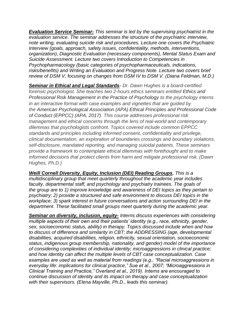*Evaluation Service Seminar: This seminar is led by the supervising psychiatrist in the evaluation service. The seminar addresses the structure of the psychiatric interview, note writing, evaluating suicide risk and procedures. Lecture one covers the Psychiatric Interview (goals, approach, safety issues, confidentiality, methods, interventions, organization), Diagnostic Evaluation (necessary components), Mental Status Exam and Suicide Assessment. Lecture two covers Introduction to Competencies in Psychopharmacology (basic categories of psychopharmaceuticals, indications, risks/benefits) and Writing an Evaluation and Progress Note. Lecture two covers brief review of DSM V, focusing on changes from DSM IV to DSM V. (Diana Feldman, M.D.)*

*Seminar in Ethical and Legal Standards- Dr. Dawn Hughes is a board-certified forensic psychologist. She teaches two 2-hours ethics seminars entitled Ethics and Professional Risk Management in the Practice of Psychology to the psychology interns in an interactive format with case examples and vignettes that are guided by the American Psychological Association (APA) Ethical Principles and Professional Code of Conduct (EPPCC) (APA, 2017). This course addresses professional risk management and ethical concerns through the lens of real-world and contemporary dilemmas that psychologists confront. Topics covered include common EPPCC standards and principles including informed consent, confidentiality and privilege, clinical documentation, an exploration of boundaries crossings and boundary violations, self-disclosure, mandated reporting, and managing suicidal patients. These seminars provide a framework to contemplate ethical dilemmas with forethought and to make informed decisions that protect clients from harm and mitigate professional risk. (Dawn Hughes, Ph.D.)*

*Weill Cornell Diversity, Equity, Inclusion (DEI) Reading Groups. This is a multidisciplinary group that meet quarterly throughout the academic year includes faculty, departmental staff, and psychology and psychiatry trainees. The goals of the group are to 1) improve knowledge and awareness of DEI topics as they pertain to psychiatry; 2) provide a structured and safe environment to discuss DEI topics in the workplace; 3) spark interest in future conversations and action surrounding DEI in the department. These facilitated small groups meet quarterly during the academic year.*

*Seminar on diversity, inclusion, equity- Interns discuss experiences with considering multiple aspects of their own and their patients' identity (e.g., race, ethnicity, gender, sex, socioeconomic status, ability) in therapy. Topics discussed include when and how to discuss of difference and similarity in CBT; the ADDRESSING (age, developmental disabilities, acquired disabilities, religion, ethnicity, sexual orientation, socioeconomic status, indigenous group membership, nationality, and gender) model of the importance of considering complexities of individual identity; microaggressions in clinical practice; and how identity can affect the multiple levels of CBT case conceptualization. Case examples are used as well as material from readings (e.g., "Racial microaggressions in everyday life: implications for clinical practice," Sue et al., 2007; "Microaggressions in Clinical Training and Practice," Overland et al., 2019). Interns are encouraged to continue discussion of identity and its impact on therapy and case conceptualization with their supervisors. (Elena Mayville, Ph.D., leads this seminar).*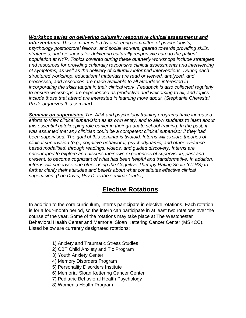#### *Workshop series on delivering culturally responsive clinical assessments and*

*interventions. This seminar is led by a steering committee of psychologists, psychology postdoctoral fellows, and social workers, geared towards providing skills, strategies, and resources for delivering culturally responsive care to the patient population at NYP. Topics covered during these quarterly workshops include strategies and resources for providing culturally responsive clinical assessments and interviewing of symptoms, as well as the delivery of culturally informed interventions. During each structured workshop, educational materials are read or viewed, analyzed, and processed, and resources are made available to all attendees interested in incorporating the skills taught in their clinical work. Feedback is also collected regularly to ensure workshops are experienced as productive and welcoming to all, and topics include those that attend are interested in learning more about. (Stephanie Cherestal, Ph.D. organizes this seminar).*

*Seminar on supervision-The APA and psychology training programs have increased efforts to view clinical supervision as its own entity, and to allow students to learn about this essential gatekeeping role earlier in their graduate school training. In the past, it was assumed that any clinician could be a competent clinical supervisor if they had been supervised. The goal of this seminar is twofold. Interns will explore theories of clinical supervision (e.g., cognitive behavioral, psychodynamic, and other evidencebased modalities) through readings, videos, and guided discovery. Interns are encouraged to explore and discuss their own experiences of supervision, past and present, to become cognizant of what has been helpful and transformative. In addition, interns will supervise one other using the Cognitive Therapy Rating Scale (CTRS) to further clarify their attitudes and beliefs about what constitutes effective clinical supervision. (Lori Davis, Psy.D. is the seminar leader).*

## **Elective Rotations**

In addition to the core curriculum, interns participate in elective rotations. Each rotation is for a four-month period, so the intern can participate in at least two rotations over the course of the year. Some of the rotations may take place at The Westchester Behavioral Health Center and Memorial Sloan Kettering Cancer Center (MSKCC). Listed below are currently designated rotations:

- 1) Anxiety and Traumatic Stress Studies
- 2) CBT Child Anxiety and Tic Program
- 3) Youth Anxiety Center
- 4) Memory Disorders Program
- 5) Personality Disorders Institute
- 6) Memorial Sloan Kettering Cancer Center
- 7) Pediatric Behavioral Health Psychology
- 8) Women's Health Program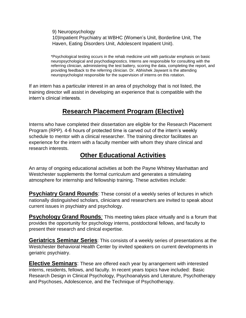9) Neuropsychology 10)Inpatient Psychiatry at WBHC (Women's Unit, Borderline Unit, The Haven, Eating Disorders Unit, Adolescent Inpatient Unit).

\*Psychological testing occurs in the rehab medicine unit with particular emphasis on basic neuropsychological and psychodiagnostics. Interns are responsible for consulting with the referring clinician, administering the test battery, scoring the data, completing the report, and providing feedback to the referring clinician. Dr. Abhishek Jaywant is the attending neuropsychologist responsible for the supervision of interns on this rotation.

If an intern has a particular interest in an area of psychology that is not listed, the training director will assist in developing an experience that is compatible with the intern's clinical interests.

## **Research Placement Program (Elective)**

Interns who have completed their dissertation are eligible for the Research Placement Program (RPP). 4-6 hours of protected time is carved out of the intern's weekly schedule to mentor with a clinical researcher. The training director facilitates an experience for the intern with a faculty member with whom they share clinical and research interests.

## **Other Educational Activities**

An array of ongoing educational activities at both the Payne Whitney Manhattan and Westchester supplements the formal curriculum and generates a stimulating atmosphere for internship and fellowship training. These activities include:

**Psychiatry Grand Rounds:** These consist of a weekly series of lectures in which nationally distinguished scholars, clinicians and researchers are invited to speak about current issues in psychiatry and psychology.

**Psychology Grand Rounds**: This meeting takes place virtually and is a forum that provides the opportunity for psychology interns, postdoctoral fellows, and faculty to present their research and clinical expertise.

**Geriatrics Seminar Series**: This consists of a weekly series of presentations at the Westchester Behavioral Health Center by invited speakers on current developments in geriatric psychiatry. ٦

**Elective Seminars**: These are offered each year by arrangement with interested interns, residents, fellows, and faculty. In recent years topics have included: Basic Research Design in Clinical Psychology, Psychoanalysis and Literature, Psychotherapy and Psychoses, Adolescence, and the Technique of Psychotherapy.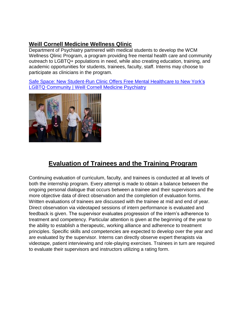## **[Weill Cornell Medicine Wellness Qlinic](https://wellnessqlinic.weill.cornell.edu/)**

Department of Psychiatry partnered with medical students to develop the WCM Wellness Qlinic Program, a program providing free mental health care and community outreach to LGBTQ+ populations in need, while also creating education, training, and academic opportunities for students, trainees, faculty, staff. Interns may choose to participate as clinicians in the program.

[Safe Space: New Student-Run Clinic Offers Free Mental Healthcare to New York's](https://psychiatry.weill.cornell.edu/news/safe-space-new-student-run-clinic-offers-free-mental-healthcare-new-york%E2%80%99s-lgbtq-community)  [LGBTQ Community | Weill Cornell Medicine Psychiatry](https://psychiatry.weill.cornell.edu/news/safe-space-new-student-run-clinic-offers-free-mental-healthcare-new-york%E2%80%99s-lgbtq-community)



## **Evaluation of Trainees and the Training Program**

Continuing evaluation of curriculum, faculty, and trainees is conducted at all levels of both the internship program. Every attempt is made to obtain a balance between the ongoing personal dialogue that occurs between a trainee and their supervisors and the more objective data of direct observation and the completion of evaluation forms. Written evaluations of trainees are discussed with the trainee at mid and end of year. Direct observation via videotaped sessions of intern performance is evaluated and feedback is given. The supervisor evaluates progression of the intern's adherence to treatment and competency. Particular attention is given at the beginning of the year to the ability to establish a therapeutic, working alliance and adherence to treatment principles. Specific skills and competencies are expected to develop over the year and are evaluated by the supervisor. Interns can directly observe expert therapists via videotape, patient interviewing and role-playing exercises. Trainees in turn are required to evaluate their supervisors and instructors utilizing a rating form.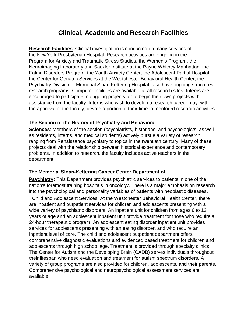## **Clinical, Academic and Research Facilities**

**Research Facilities***:* Clinical investigation is conducted on many services of the NewYork-Presbyterian Hospital. Research activities are ongoing in the Program for Anxiety and Traumatic Stress Studies, the Women's Program, the Neuroimaging Laboratory and Sackler Institute at the Payne Whitney Manhattan, the Eating Disorders Program, the Youth Anxiety Center, the Adolescent Partial Hospital, the Center for Geriatric Services at the Westchester Behavioral Health Center, the Psychiatry Division of Memorial Sloan Kettering Hospital. also have ongoing structures research programs. Computer facilities are available at all research sites. Interns are encouraged to participate in ongoing projects, or to begin their own projects with assistance from the faculty. Interns who wish to develop a research career may, with the approval of the faculty, devote a portion of their time to mentored research activities.

#### **The Section of the History of Psychiatry and Behavioral**

**Sciences***:* Members of the section (psychiatrists, historians, and psychologists, as well as residents, interns, and medical students) actively pursue a variety of research, ranging from Renaissance psychiatry to topics in the twentieth century. Many of these projects deal with the relationship between historical experience and contemporary problems. In addition to research, the faculty includes active teachers in the department.

## **The Memorial Sloan-Kettering Cancer Center Department of**

**Psychiatry:** This Department provides psychiatric services to patients in one of the nation's foremost training hospitals in oncology. There is a major emphasis on research into the psychological and personality variables of patients with neoplastic diseases.

Child and Adolescent Services: At the Westchester Behavioral Health Center, there are inpatient and outpatient services for children and adolescents presenting with a wide variety of psychiatric disorders. An inpatient unit for children from ages 6 to 12 years of age and an adolescent inpatient unit provide treatment for those who require a 24-hour therapeutic program. An adolescent eating disorder inpatient unit provides services for adolescents presenting with an eating disorder, and who require an inpatient level of care. The child and adolescent outpatient department offers comprehensive diagnostic evaluations and evidenced based treatment for children and adolescents through high school age. Treatment is provided through specialty clinics. The Center for Autism and the Developing Brain (CADB) serves individuals throughout their lifespan who need evaluation and treatment for autism spectrum disorders. A variety of group programs are also provided for children, adolescents, and their parents. Comprehensive psychological and neuropsychological assessment services are available.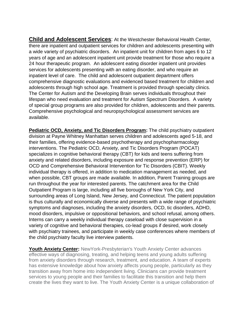**Child and Adolescent Services**: At the Westchester Behavioral Health Center, there are inpatient and outpatient services for children and adolescents presenting with a wide variety of psychiatric disorders. An inpatient unit for children from ages 6 to 12 years of age and an adolescent inpatient unit provide treatment for those who require a 24 hour therapeutic program. An adolescent eating disorder inpatient unit provides services for adolescents presenting with an eating disorder, and who require an inpatient level of care. The child and adolescent outpatient department offers comprehensive diagnostic evaluations and evidenced based treatment for children and adolescents through high school age. Treatment is provided through specialty clinics. The Center for Autism and the Developing Brain serves individuals throughout their lifespan who need evaluation and treatment for Autism Spectrum Disorders. A variety of special group programs are also provided for children, adolescents and their parents. Comprehensive psychological and neuropsychological assessment services are available.

**Pediatric OCD, Anxiety, and Tic Disorders Program:** The child psychiatry outpatient division at Payne Whitney Manhattan serves children and adolescents aged 5-18, and their families, offering evidence-based psychotherapy and psychopharmacology interventions. The Pediatric OCD, Anxiety, and Tic Disorders Program (POCAT) specializes in cognitive behavioral therapy (CBT) for kids and teens suffering from anxiety and related disorders, including exposure and response prevention (ERP) for OCD and Comprehensive Behavioral Intervention for Tic Disorders (CBIT). Weekly individual therapy is offered, in addition to medication management as needed, and when possible, CBT groups are made available. In addition, Parent Training groups are run throughout the year for interested parents. The catchment area for the Child Outpatient Program is large, including all five boroughs of New York City, and surrounding areas of Long Island, New Jersey, and Connecticut. The patient population is thus culturally and economically diverse and presents with a wide range of psychiatric symptoms and diagnoses, including the anxiety disorders, OCD, tic disorders, ADHD, mood disorders, impulsive or oppositional behaviors, and school refusal, among others. Interns can carry a weekly individual therapy caseload with close supervision in a variety of cognitive and behavioral therapies, co-lead groups if desired, work closely with psychiatry trainees, and participate in weekly case conferences where members of the child psychiatry faculty live interview patients.

**Youth Anxiety Center:** NewYork-Presbyterian's Youth Anxiety Center advances effective ways of diagnosing, treating, and helping teens and young adults suffering from anxiety disorders through research, treatment, and education. A team of experts has extensive knowledge about how anxiety affects young people, particularly as they transition away from home into independent living. Clinicians can provide treatment services to young people and their families to facilitate this transition and help them create the lives they want to live. The Youth Anxiety Center is a unique collaboration of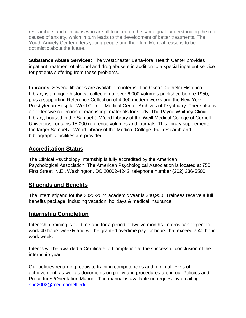researchers and clinicians who are all focused on the same goal: understanding the root causes of anxiety, which in turn leads to the development of better treatments. The Youth Anxiety Center offers young people and their family's real reasons to be optimistic about the future.

**Substance Abuse Services:** The Westchester Behavioral Health Center provides inpatient treatment of alcohol and drug abusers in addition to a special inpatient service for patients suffering from these problems.

**Libraries**: Several libraries are available to interns. The Oscar Diethelm Historical Library is a unique historical collection of over 6,000 volumes published before 1950, plus a supporting Reference Collection of 4,000 modern works and the New York Presbyterian Hospital-Weill Cornell Medical Center Archives of Psychiatry. There also is an extensive collection of manuscript materials for study. The Payne Whitney Clinic Library, housed in the Samuel J. Wood Library of the Weill Medical College of Cornell University, contains 15,000 reference volumes and journals. This library supplements the larger Samuel J. Wood Library of the Medical College. Full research and bibliographic facilities are provided.

## **Accreditation Status**

The Clinical Psychology Internship is fully accredited by the American Psychological Association. The American Psychological Association is located at 750 First Street, N.E., Washington, DC 20002-4242; telephone number (202) 336-5500.

#### **Stipends and Benefits**  Ξ

The intern stipend for the 2023-2024 academic year is \$40,950. Trainees receive a full benefits package, including vacation, holidays & medical insurance.

## **Internship Completion**

Internship training is full-time and for a period of twelve months. Interns can expect to work 40 hours weekly and will be granted overtime pay for hours that exceed a 40-hour work week.

Interns will be awarded a Certificate of Completion at the successful conclusion of the internship year.

Our policies regarding requisite training competencies and minimal levels of achievement, as well as documents on policy and procedures are in our Policies and Procedures/Orientation Manual. The manual is available on request by emailing [sue2002@med.cornell.edu.](mailto:sue2002@med.cornell.edu)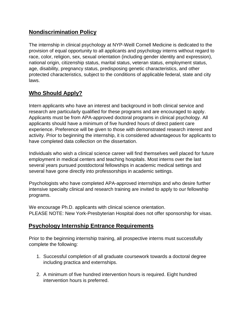## **Nondiscrimination Policy**

The internship in clinical psychology at NYP-Weill Cornell Medicine is dedicated to the provision of equal opportunity to all applicants and psychology interns without regard to race, color, religion, sex, sexual orientation (including gender identity and expression), national origin, citizenship status, marital status, veteran status, employment status, age, disability, pregnancy status, predisposing genetic characteristics, and other protected characteristics, subject to the conditions of applicable federal, state and city laws.

## **Who Should Apply?**

Intern applicants who have an interest and background in both clinical service and research are particularly qualified for these programs and are encouraged to apply. Applicants must be from APA-approved doctoral programs in clinical psychology. All applicants should have a minimum of five hundred hours of direct patient care experience. Preference will be given to those with demonstrated research interest and activity. Prior to beginning the internship, it is considered advantageous for applicants to have completed data collection on the dissertation.

Individuals who wish a clinical science career will find themselves well placed for future employment in medical centers and teaching hospitals. Most interns over the last several years pursued postdoctoral fellowships in academic medical settings and several have gone directly into professorships in academic settings.

Psychologists who have completed APA-approved internships and who desire further intensive specialty clinical and research training are invited to apply to our fellowship programs.

We encourage Ph.D. applicants with clinical science orientation. PLEASE NOTE: New York-Presbyterian Hospital does not offer sponsorship for visas.

## **Psychology Internship Entrance Requirements**

Prior to the beginning internship training, all prospective interns must successfully complete the following:

- 1. Successful completion of all graduate coursework towards a doctoral degree including practica and externships.
- 2. A minimum of five hundred intervention hours is required. Eight hundred intervention hours is preferred.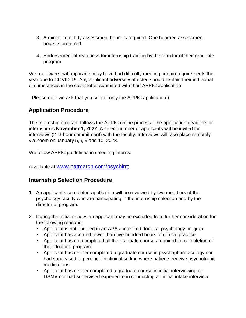- 3. A minimum of fifty assessment hours is required. One hundred assessment hours is preferred.
- 4. Endorsement of readiness for internship training by the director of their graduate program.

We are aware that applicants may have had difficulty meeting certain requirements this year due to COVID-19. Any applicant adversely affected should explain their individual circumstances in the cover letter submitted with their APPIC application

(Please note we ask that you submit only the APPIC application.)

## **Application Procedure**

The internship program follows the APPIC online process. The application deadline for internship is **November 1, 2022**. A select number of applicants will be invited for interviews (2–3-hour commitment) with the faculty. Interviews will take place remotely via Zoom on January 5,6, 9 and 10, 2023.

We follow APPIC guidelines in selecting interns.

(available at [www.natmatch.com/psychint](http://www.natmatch.com/psychint)[\)](http://www.natmatch.com/psychint) 

## **Internship Selection Procedure**

- 1. An applicant's completed application will be reviewed by two members of the psychology faculty who are participating in the internship selection and by the director of program.
- 2. During the initial review, an applicant may be excluded from further consideration for the following reasons:
	- Applicant is not enrolled in an APA accredited doctoral psychology program
	- Applicant has accrued fewer than five hundred hours of clinical practice
	- Applicant has not completed all the graduate courses required for completion of their doctoral program
	- Applicant has neither completed a graduate course in psychopharmacology nor had supervised experience in clinical setting where patients receive psychotropic medications
	- Applicant has neither completed a graduate course in initial interviewing or DSMV nor had supervised experience in conducting an initial intake interview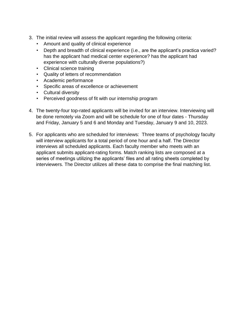- 3. The initial review will assess the applicant regarding the following criteria:
	- Amount and quality of clinical experience
	- Depth and breadth of clinical experience (i.e., are the applicant's practica varied? has the applicant had medical center experience? has the applicant had experience with culturally diverse populations?)
	- Clinical science training
	- Quality of letters of recommendation
	- Academic performance
	- Specific areas of excellence or achievement
	- Cultural diversity
	- Perceived goodness of fit with our internship program
- 4. The twenty-four top-rated applicants will be invited for an interview. Interviewing will be done remotely via Zoom and will be schedule for one of four dates - Thursday and Friday, January 5 and 6 and Monday and Tuesday, January 9 and 10, 2023.
- 5. For applicants who are scheduled for interviews: Three teams of psychology faculty will interview applicants for a total period of one hour and a half. The Director interviews all scheduled applicants. Each faculty member who meets with an applicant submits applicant-rating forms. Match ranking lists are composed at a series of meetings utilizing the applicants' files and all rating sheets completed by interviewers. The Director utilizes all these data to comprise the final matching list.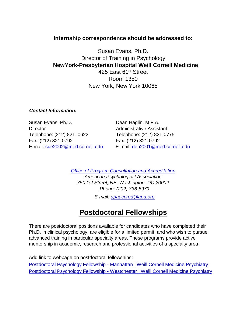## **Internship correspondence should be addressed to:**

Susan Evans, Ph.D. Director of Training in Psychology **NewYork-Presbyterian Hospital Weill Cornell Medicine** 425 East 61<sup>st</sup> Street Room 1350 New York, New York 10065

#### *Contact Information:*

Susan Evans, Ph.D. Dean Haglin, M.F.A. Director **Administrative Assistant** Telephone: (212) 821–0622 Telephone: (212) 821-0775 Fax: (212) 821-0792 Fax: (212) 821-0792

E-mail: sue2002@med.cornell.edu E-mail: deh2001@med.cornell.edu

*[Office of Program Consultation and Accreditation](http://www.apa.org/ed/accreditation/index.aspx)*

*American Psychological Association 750 1st Street, NE, Washington, DC 20002 Phone: (202) 336-5979* 

*E-mail: apaaccred@apa.org*

# **Postdoctoral Fellowships**

There are postdoctoral positions available for candidates who have completed their Ph.D. in clinical psychology, are eligible for a limited permit, and who wish to pursue advanced training in particular specialty areas. These programs provide active mentorship in academic, research and professional activities of a specialty area.

Add link to webpage on postdoctoral fellowships:

Postdoctoral Psychology Fellowship - [Manhattan | Weill Cornell Medicine Psychiatry](https://psychiatry.weill.cornell.edu/postdoctoral-psychology-fellowship-manhattan) Postdoctoral Psychology Fellowship - [Westchester | Weill Cornell Medicine Psychiatry](https://psychiatry.weill.cornell.edu/postdoctoral-psychology-fellowship-westchester)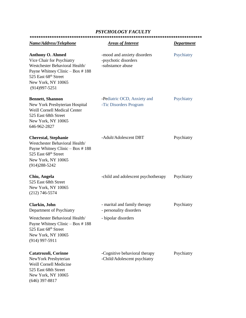#### *PSYCHOLOGY FACULTY*

| Name/Address/Telephone                                                                                                                                                                       | <b>Areas of Interest</b>                                                       | <b>Department</b> |  |  |
|----------------------------------------------------------------------------------------------------------------------------------------------------------------------------------------------|--------------------------------------------------------------------------------|-------------------|--|--|
| <b>Anthony O. Ahmed</b><br>Vice Chair for Psychiatry<br>Westchester Behavioral Health/<br>Payne Whitney Clinic - Box #188<br>525 East 68th Street<br>New York, NY 10065<br>$(914)997 - 5251$ | -mood and anxiety disorders<br>-psychotic disorders<br>-substamce abuse        | Psychiatry        |  |  |
| <b>Bennett, Shannon</b><br>New York Presbyterian Hospital<br>Weill Cornell Medical Center<br>525 East 68th Street<br>New York, NY 10065<br>646-962-2827                                      | -Pediatric OCD, Anxiety and<br>-Tic Disorders Program                          | Psychiatry        |  |  |
| <b>Cherestal, Stephanie</b><br>Westchester Behavioral Health/<br>Payne Whitney Clinic $-$ Box #188<br>525 East 68th Street<br>New York, NY 10065<br>$(914)288 - 5242$                        | -Adult/Adolescent DBT                                                          | Psychiatry        |  |  |
| Chiu, Angela<br>525 East 68th Street<br>New York, NY 10065<br>$(212)$ 746-5574                                                                                                               | -child and adolescent psychotherapy                                            | Psychiatry        |  |  |
| Clarkin, John<br>Department of Psychiatry<br>Westchester Behavioral Health/<br>Payne Whitney Clinic $-$ Box #188<br>525 East 68th Street<br>New York, NY 10065<br>$(914)$ 997-5911           | - marital and family therapy<br>- personality disorders<br>- bipolar disorders | Psychiatry        |  |  |
| <b>Catatrozoli, Corinne</b><br>New York Presbyterian<br><b>Weill Cornell Medicine</b><br>525 East 68th Street<br>New York, NY 10065<br>$(646)$ 397-8817                                      | -Cognitive behavioral therapy<br>-Child/Adolescent psychiatry                  | Psychiatry        |  |  |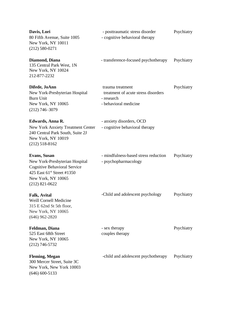| Davis, Lori<br>80 Fifth Avenue, Suite 1005<br>New York, NY 10011<br>$(212) 580 - 0271$                                                                                    | - posttraumatic stress disorder<br>- cognitive behavioral therapy                              | Psychiatry |
|---------------------------------------------------------------------------------------------------------------------------------------------------------------------------|------------------------------------------------------------------------------------------------|------------|
| Diamond, Diana<br>135 Central Park West, 1N<br>New York, NY 10024<br>212-877-2232                                                                                         | - transference-focused psychotherapy                                                           | Psychiatry |
| Difede, JoAnn<br>New York-Presbyterian Hospital<br><b>Burn Unit</b><br>New York, NY 10065<br>$(212)$ 746-3079                                                             | trauma treatment<br>treatment of acute stress disorders<br>- research<br>- behavioral medicine | Psychiatry |
| Edwards, Anna R.<br><b>New York Anxiety Treatment Center</b><br>240 Central Park South, Suite 2J<br>New York, NY 10019<br>$(212)$ 518-8162                                | - anxiety disorders, OCD<br>- cognitive behavioral therapy                                     |            |
| Evans, Susan<br>New York-Presbyterian Hospital<br><b>Cognitive Behavioral Service</b><br>425 East 61 <sup>st</sup> Street #1350<br>New York, NY 10065<br>$(212)$ 821-0622 | - mindfulness-based stress reduction<br>- psychopharmacology                                   | Psychiatry |
| <b>Falk, Avital</b><br>Weill Cornell Medicine<br>315 E 62nd St 5th floor,<br>New York, NY 10065<br>$(646)$ 962-2820                                                       | -Child and adolescent psychology                                                               | Psychiatry |
| Feldman, Diana<br>525 East 68th Street<br>New York, NY 10065<br>$(212)$ 746-5732                                                                                          | - sex therapy<br>couples therapy                                                               | Psychiatry |
| <b>Fleming, Megan</b><br>300 Mercer Street, Suite 3C<br>New York, New York 10003<br>$(646)$ 600-5133                                                                      | -child and adolescent psychotherapy                                                            | Psychiatry |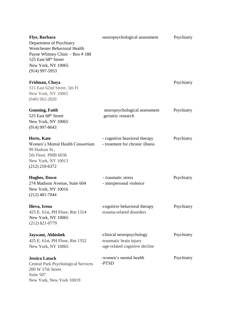| <b>Flye, Barbara</b><br>Department of Psychiatry<br>Westchester Behavioral Health<br>Payne Whitney Clinic - Box #188<br>525 East 68th Street<br>New York, NY 10065<br>$(914)$ 997-5953 | -neuropsychological assessment                                                         | Psychiatry |
|----------------------------------------------------------------------------------------------------------------------------------------------------------------------------------------|----------------------------------------------------------------------------------------|------------|
| Fridman, Chaya<br>315 East 62nd Street, 5th Fl<br>New York, NY 10065<br>$(646)$ 962-2820                                                                                               |                                                                                        | Psychiatry |
| <b>Gunning, Faith</b><br>525 East 68th Street<br>New York, NY 10065<br>$(914)$ 997-8643                                                                                                | neuropsychological assessment<br>geriatric research                                    | Psychiatry |
| Herts, Kate<br>Women's Mental Health Consortium<br>99 Hudson St.,<br>5th Floor, PMB 6036<br>New York, NY 10013<br>$(212)$ 210-6372                                                     | - cognitive heavioral therapy<br>- treatment for chronic illness                       | Psychiatry |
| <b>Hughes, Dawn</b><br>274 Madison Avenue, Suite 604<br>New York, NY 10016<br>$(212)$ 481-7044                                                                                         | - traumatic stress<br>- interpersonal violence                                         | Psychiatry |
| Ilieva, Irena<br>425 E. 61st, PH Floor, Rm 1314<br>New York, NY 10065<br>$(212)$ 821-0779                                                                                              | -cognitive behavioral therapy<br>-trauma-related disorders                             | Psychiatry |
| <b>Jaywant, Abhishek</b><br>425 E. 61st, PH Floor, Rm 1352<br>New York, NY 10065                                                                                                       | -clinical neuropsychology<br>-traumatic brain injury<br>-age-related cognitive decline | Psychiatry |
| <b>Jessica Latack</b><br><b>Central Park Psychological Services</b><br>200 W 57th Street<br>Suite 507<br>New York, New York 10019                                                      | -women's mental health<br>-PTSD                                                        | Psychiatry |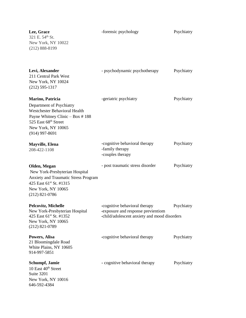| Lee, Grace<br>321 E. 54th St.<br>New York, NY 10022<br>$(212) 888 - 8199$                                                                                                                 | -forensic psychology                                                                                                | Psychiatry |
|-------------------------------------------------------------------------------------------------------------------------------------------------------------------------------------------|---------------------------------------------------------------------------------------------------------------------|------------|
| Levi, Alexander<br>211 Central Park West<br>New York, NY 10024<br>$(212)$ 595-1317                                                                                                        | - psychodynamic psychotherapy                                                                                       | Psychiatry |
| Marino, Patricia<br>Department of Psychiatry<br><b>Westchester Behavioral Health</b><br>Payne Whitney Clinic - Box #188<br>525 East 68th Street<br>New York, NY 10065<br>$(914)$ 997-8691 | -geriatric psychiatry                                                                                               | Psychiatry |
| <b>Mayville, Elena</b><br>208-422-1108                                                                                                                                                    | -cognitive behavioral therapy<br>-family therapy<br>-couples therapy                                                | Psychiatry |
| Olden, Megan<br>New York-Presbyterian Hospital<br>Anxiety and Traumatic Stress Program<br>425 East 61st St. #1315<br>New York, NY 10065<br>$(212)$ 821-0786                               | - post traumatic stress disorder                                                                                    | Psychiatry |
| Pelcovitz, Michelle<br>New York-Presbyterian Hospital<br>425 East 61st St. #1352<br>New York, NY 10065<br>$(212)$ 821-0789                                                                | -cognitive behavioral therapy<br>-exposure and response previentiom<br>-child/adolescent anxiety and mood disorders | Psychiatry |
| Powers, Alisa<br>21 Bloomingdale Road<br>White Plains, NY 10605<br>914-997-5851                                                                                                           | -cognitive behavioral therapy                                                                                       | Psychiatry |
| <b>Schumpf, Jamie</b><br>10 East 40 <sup>th</sup> Street<br>Suite 3201<br>New York, NY 10016<br>646-592-4384                                                                              | - cognitive behavioral therapy                                                                                      | Psychiatry |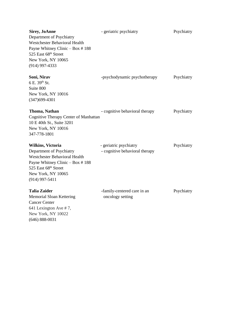| <b>Sirey, JoAnne</b><br>Department of Psychiatry<br>Westchester Behavioral Health<br>Payne Whitney Clinic - Box #188<br>525 East 68th Street<br>New York, NY 10065<br>$(914)$ 997-4333     | - geriatric psychiatry                                   | Psychiatry |
|--------------------------------------------------------------------------------------------------------------------------------------------------------------------------------------------|----------------------------------------------------------|------------|
| Soni, Nirav<br>6 E. 39th St.<br>Suite 800<br>New York, NY 10016<br>$(347)699-4301$                                                                                                         | -psychodynamic psychotherapy                             | Psychiatry |
| Thoma, Nathan<br>Cognitive Therapy Center of Manhattan<br>10 E 40th St., Suite 3201<br>New York, NY 10016<br>347-778-1801                                                                  | - cognitive behavioral therapy                           | Psychiatry |
| <b>Wilkins, Victoria</b><br>Department of Psychiatry<br>Westchester Behavioral Health<br>Payne Whitney Clinic - Box #188<br>525 East 68th Street<br>New York, NY 10065<br>$(914)$ 997-5411 | - geriatric psychiatry<br>- cognitive behavioral therapy | Psychiatry |
| <b>Talia Zaider</b><br><b>Memorial Sloan Kettering</b><br><b>Cancer Center</b><br>641 Lexington Ave #7,<br>New York, NY 10022<br>$(646) 888 - 0031$                                        | -family-centered care in an<br>oncology setting          | Psychiatry |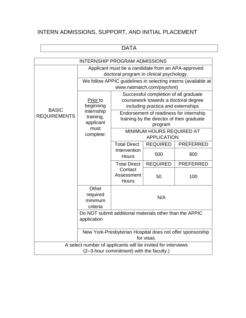# INTERN ADMISSIONS, SUPPORT, AND INITIAL PLACEMENT

# DATA

| <b>INTERNSHIP PROGRAM ADMISSIONS</b>                         |                                                           |                                          |                                                                            |                                                               |  |
|--------------------------------------------------------------|-----------------------------------------------------------|------------------------------------------|----------------------------------------------------------------------------|---------------------------------------------------------------|--|
|                                                              | Applicant must be a candidate from an APA-approved        |                                          |                                                                            |                                                               |  |
|                                                              |                                                           | doctoral program in clinical psychology. |                                                                            |                                                               |  |
|                                                              |                                                           |                                          |                                                                            | We follow APPIC guidelines in selecting interns (available at |  |
|                                                              | www.natmatch.com/psychint)                                |                                          |                                                                            |                                                               |  |
|                                                              |                                                           |                                          | Successful completion of all graduate                                      |                                                               |  |
|                                                              | Prior to<br>beginning                                     |                                          | coursework towards a doctoral degree<br>including practica and externships |                                                               |  |
| <b>BASIC</b>                                                 | internship                                                |                                          | Endorsement of readiness for internship                                    |                                                               |  |
| <b>REQUIREMENTS</b>                                          | training,                                                 |                                          | training by the director of their graduate                                 |                                                               |  |
|                                                              | applicant                                                 |                                          | program                                                                    |                                                               |  |
|                                                              | must<br>complete:                                         | MINIMUM HOURS REQUIRED AT                |                                                                            |                                                               |  |
|                                                              |                                                           |                                          | <b>APPLICATION</b>                                                         |                                                               |  |
|                                                              |                                                           | <b>Total Direct</b>                      | <b>REQUIRED</b>                                                            | <b>PREFERRED</b>                                              |  |
|                                                              |                                                           | Intervention<br><b>Hours</b>             | 500                                                                        | 800                                                           |  |
|                                                              |                                                           | <b>Total Direct</b>                      | <b>REQUIRED</b>                                                            | <b>PREFERRED</b>                                              |  |
|                                                              |                                                           | Contact<br>Assessment                    |                                                                            |                                                               |  |
|                                                              |                                                           | <b>Hours</b>                             | 50                                                                         | 100                                                           |  |
|                                                              | Other                                                     |                                          |                                                                            |                                                               |  |
|                                                              | required                                                  | N/A                                      |                                                                            |                                                               |  |
|                                                              | minimum                                                   |                                          |                                                                            |                                                               |  |
|                                                              | criteria                                                  |                                          |                                                                            |                                                               |  |
|                                                              | Do NOT submit additional materials other than the APPIC   |                                          |                                                                            |                                                               |  |
|                                                              | application                                               |                                          |                                                                            |                                                               |  |
|                                                              | New York-Presbyterian Hospital does not offer sponsorship |                                          |                                                                            |                                                               |  |
|                                                              | for visas                                                 |                                          |                                                                            |                                                               |  |
| A select number of applicants will be invited for interviews |                                                           |                                          |                                                                            |                                                               |  |
| (2-3-hour commitment) with the faculty.)                     |                                                           |                                          |                                                                            |                                                               |  |